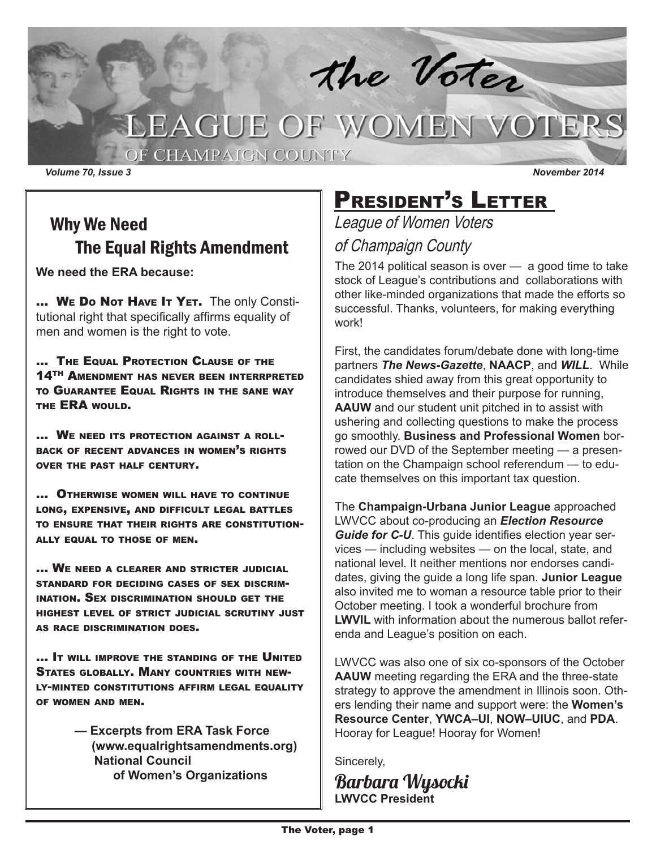

# LEAGUE OF WOMEN VOTERS

OF CHAMPAIGN COUNTY

*Volume 70, Issue 3 November 2014*

### Why We Need The Equal Rights Amendment

**We need the ERA because:**

... WE Do Not Have It YET. The only Constitutional right that specifically affirms equality of men and women is the right to vote.

… The Equal Protection Clause of the 14TH Amendment has never been interrpreted to Guarantee Equal Rights in the sane way THE **ERA** WOULD.

… We need its protection against a rollback of recent advances in women's rights over the past half century.

… Otherwise women will have to continue long, expensive, and difficult legal battles to ensure that their rights are constitutionally equal to those of men.

… We need a clearer and stricter judicial standard for deciding cases of sex discrimination. Sex discrimination should get the highest level of strict judicial scrutiny just as race discrimination does.

… It will improve the standing of the United States globally. Many countries with newly-minted constitutions affirm legal equality of women and men.

> **— Excerpts from ERA Task Force (www.equalrightsamendments.org) National Council of Women's Organizations**

## PRESIDENT'S LETTER

### League of Women Voters of Champaign County

The 2014 political season is over — a good time to take stock of League's contributions and collaborations with other like-minded organizations that made the efforts so successful. Thanks, volunteers, for making everything work!

First, the candidates forum/debate done with long-time partners *The News-Gazette*, **NAACP**, and *WILL*. While candidates shied away from this great opportunity to introduce themselves and their purpose for running, **AAUW** and our student unit pitched in to assist with ushering and collecting questions to make the process go smoothly. **Business and Professional Women** borrowed our DVD of the September meeting — a presentation on the Champaign school referendum — to educate themselves on this important tax question.

The **Champaign-Urbana Junior League** approached LWVCC about co-producing an *Election Resource Guide for C-U*. This guide identifies election year services — including websites — on the local, state, and national level. It neither mentions nor endorses candidates, giving the guide a long life span. **Junior League**  also invited me to woman a resource table prior to their October meeting. I took a wonderful brochure from **LWVIL** with information about the numerous ballot referenda and League's position on each.

LWVCC was also one of six co-sponsors of the October **AAUW** meeting regarding the ERA and the three-state strategy to approve the amendment in Illinois soon. Others lending their name and support were: the **Women's Resource Center**, **YWCA–UI**, **NOW–UIUC**, and **PDA**. Hooray for League! Hooray for Women!

Sincerely,

Barbara Wysocki **LWVCC President**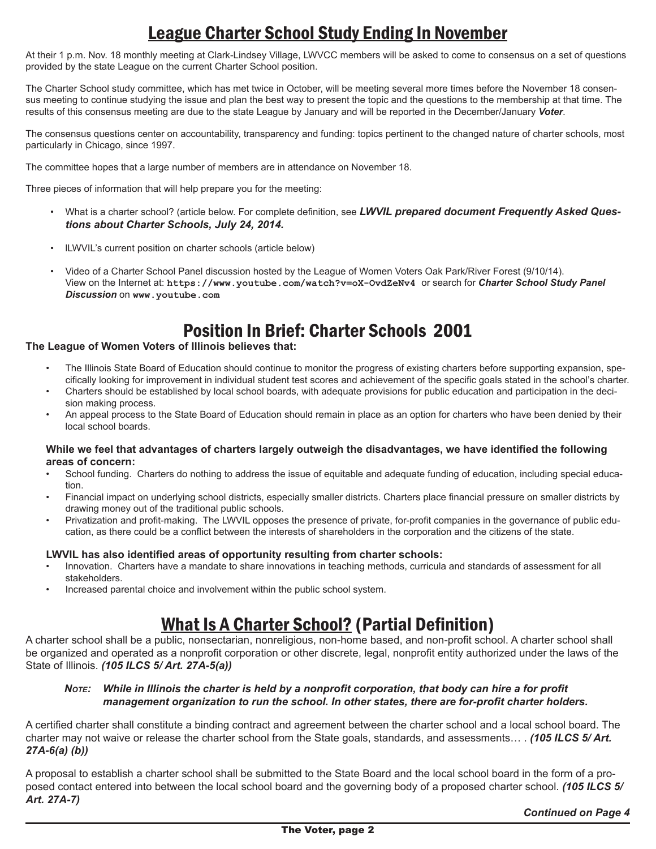### League Charter School Study Ending In November

At their 1 p.m. Nov. 18 monthly meeting at Clark-Lindsey Village, LWVCC members will be asked to come to consensus on a set of questions provided by the state League on the current Charter School position.

The Charter School study committee, which has met twice in October, will be meeting several more times before the November 18 consensus meeting to continue studying the issue and plan the best way to present the topic and the questions to the membership at that time. The results of this consensus meeting are due to the state League by January and will be reported in the December/January *Voter*.

The consensus questions center on accountability, transparency and funding: topics pertinent to the changed nature of charter schools, most particularly in Chicago, since 1997.

The committee hopes that a large number of members are in attendance on November 18.

Three pieces of information that will help prepare you for the meeting:

- What is a charter school? (article below. For complete definition, see *LWVIL prepared document Frequently Asked Questions about Charter Schools, July 24, 2014.*
- lLWVIL's current position on charter schools (article below)
- Video of a Charter School Panel discussion hosted by the League of Women Voters Oak Park/River Forest (9/10/14). View on the Internet at: **https://www.youtube.com/watch?v=oX-OvdZeNv4** or search for *Charter School Study Panel Discussion* on **www.youtube.com**

### Position In Brief: Charter Schools 2001

#### **The League of Women Voters of Illinois believes that:**

- The Illinois State Board of Education should continue to monitor the progress of existing charters before supporting expansion, specifically looking for improvement in individual student test scores and achievement of the specific goals stated in the school's charter.
- Charters should be established by local school boards, with adequate provisions for public education and participation in the decision making process.
- An appeal process to the State Board of Education should remain in place as an option for charters who have been denied by their local school boards.

#### **While we feel that advantages of charters largely outweigh the disadvantages, we have identified the following areas of concern:**

- School funding. Charters do nothing to address the issue of equitable and adequate funding of education, including special education.
- Financial impact on underlying school districts, especially smaller districts. Charters place financial pressure on smaller districts by drawing money out of the traditional public schools.
- Privatization and profit-making. The LWVIL opposes the presence of private, for-profit companies in the governance of public education, as there could be a conflict between the interests of shareholders in the corporation and the citizens of the state.

#### **LWVIL has also identified areas of opportunity resulting from charter schools:**

- Innovation. Charters have a mandate to share innovations in teaching methods, curricula and standards of assessment for all stakeholders.
- Increased parental choice and involvement within the public school system.

### What Is A Charter School? (Partial Definition)

A charter school shall be a public, nonsectarian, nonreligious, non-home based, and non-profit school. A charter school shall be organized and operated as a nonprofit corporation or other discrete, legal, nonprofit entity authorized under the laws of the State of Illinois. *(105 ILCS 5/ Art. 27A-5(a))* 

#### *Note: While in Illinois the charter is held by a nonprofit corporation, that body can hire a for profit management organization to run the school. In other states, there are for-profit charter holders.*

A certified charter shall constitute a binding contract and agreement between the charter school and a local school board. The charter may not waive or release the charter school from the State goals, standards, and assessments… . *(105 ILCS 5/ Art. 27A-6(a) (b))* 

A proposal to establish a charter school shall be submitted to the State Board and the local school board in the form of a proposed contact entered into between the local school board and the governing body of a proposed charter school. *(105 ILCS 5/ Art. 27A-7)*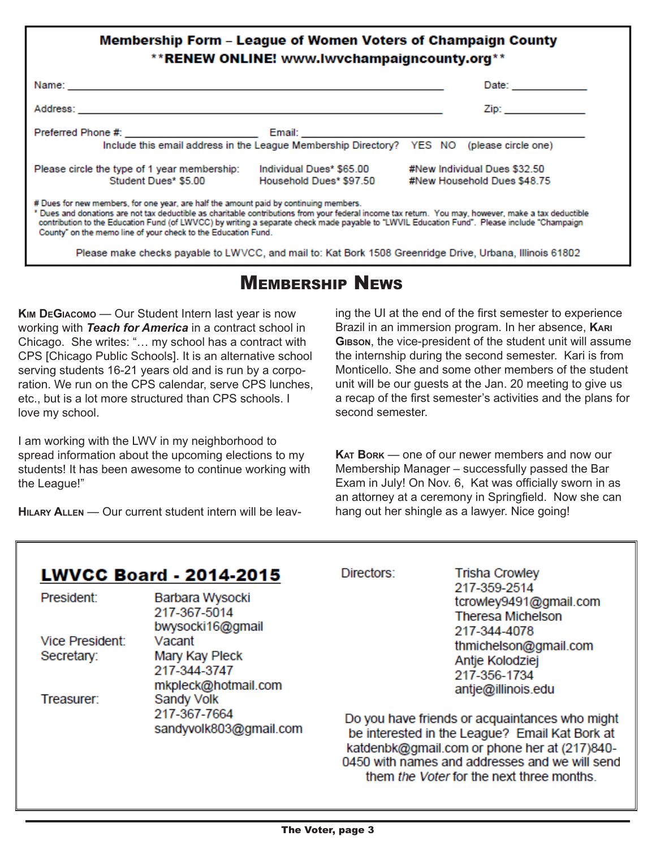### **Membership Form - League of Women Voters of Champaign County** \*\* RENEW ONLINE! www.lwvchampaigncounty.org\*\*

|                                                                                                                                                                                                                                                                                                                                                                                                                                                               |                                                                                                               |  | Date: __________ |                                                                                                                                                                                                                                |
|---------------------------------------------------------------------------------------------------------------------------------------------------------------------------------------------------------------------------------------------------------------------------------------------------------------------------------------------------------------------------------------------------------------------------------------------------------------|---------------------------------------------------------------------------------------------------------------|--|------------------|--------------------------------------------------------------------------------------------------------------------------------------------------------------------------------------------------------------------------------|
|                                                                                                                                                                                                                                                                                                                                                                                                                                                               |                                                                                                               |  |                  | Zip: and the contract of the contract of the contract of the contract of the contract of the contract of the contract of the contract of the contract of the contract of the contract of the contract of the contract of the c |
| Preferred Phone #: ________________________                                                                                                                                                                                                                                                                                                                                                                                                                   | Email: 2008 - 2009 - 2009 - 2009 - 2010 - 2010 - 2011 - 2012 - 2014 - 2014 - 2014 - 2014 - 2014 - 2014 - 2014 |  |                  |                                                                                                                                                                                                                                |
|                                                                                                                                                                                                                                                                                                                                                                                                                                                               | Include this email address in the League Membership Directory? YES NO (please circle one)                     |  |                  |                                                                                                                                                                                                                                |
| Please circle the type of 1 year membership:                                                                                                                                                                                                                                                                                                                                                                                                                  | Individual Dues* \$65,00                                                                                      |  |                  | #New Individual Dues \$32.50                                                                                                                                                                                                   |
| Student Dues* \$5.00 Household Dues* \$97.50                                                                                                                                                                                                                                                                                                                                                                                                                  |                                                                                                               |  |                  | #New Household Dues \$48.75                                                                                                                                                                                                    |
| # Dues for new members, for one year, are half the amount paid by continuing members.<br>" Dues and donations are not tax deductible as charitable contributions from your federal income tax return. You may, however, make a tax deductible<br>contribution to the Education Fund (of LWVCC) by writing a separate check made payable to "LWVIL Education Fund". Please include "Champaign<br>County" on the memo line of your check to the Education Fund. |                                                                                                               |  |                  |                                                                                                                                                                                                                                |
| Please make checks payable to LWVCC, and mail to: Kat Bork 1508 Greenridge Drive, Urbana, Illinois 61802                                                                                                                                                                                                                                                                                                                                                      |                                                                                                               |  |                  |                                                                                                                                                                                                                                |

### Membership News

**Kim DeGiacomo** — Our Student Intern last year is now working with *Teach for America* in a contract school in Chicago. She writes: "… my school has a contract with CPS [Chicago Public Schools]. It is an alternative school serving students 16-21 years old and is run by a corporation. We run on the CPS calendar, serve CPS lunches, etc., but is a lot more structured than CPS schools. I love my school.

I am working with the LWV in my neighborhood to spread information about the upcoming elections to my students! It has been awesome to continue working with the League!"

**Hilary Allen** — Our current student intern will be leav-

ing the UI at the end of the first semester to experience Brazil in an immersion program. In her absence, **Kari Gibson**, the vice-president of the student unit will assume the internship during the second semester. Kari is from Monticello. She and some other members of the student unit will be our guests at the Jan. 20 meeting to give us a recap of the first semester's activities and the plans for second semester.

**Kat Bork** — one of our newer members and now our Membership Manager – successfully passed the Bar Exam in July! On Nov. 6, Kat was officially sworn in as an attorney at a ceremony in Springfield. Now she can hang out her shingle as a lawyer. Nice going!

them the Voter for the next three months.

| <b>LWVCC Board - 2014-2015</b>       |                                                                                                                         | Directors:                                                                                                                                                                                         | <b>Trisha Crowley</b>                                                              |  |  |
|--------------------------------------|-------------------------------------------------------------------------------------------------------------------------|----------------------------------------------------------------------------------------------------------------------------------------------------------------------------------------------------|------------------------------------------------------------------------------------|--|--|
| President:                           | Barbara Wysocki<br>217-367-5014<br>bwysocki16@gmail                                                                     |                                                                                                                                                                                                    | 217-359-2514<br>tcrowley9491@gmail.com<br><b>Theresa Michelson</b><br>217-344-4078 |  |  |
| <b>Vice President:</b><br>Secretary: | Vacant<br>Mary Kay Pleck<br>217-344-3747<br>mkpleck@hotmail.com<br>Sandy Volk<br>217-367-7664<br>sandyvolk803@gmail.com |                                                                                                                                                                                                    | thmichelson@gmail.com<br>Antje Kolodziej<br>217-356-1734<br>antje@illinois.edu     |  |  |
| Treasurer:                           |                                                                                                                         | Do you have friends or acquaintances who might<br>be interested in the League? Email Kat Bork at<br>katdenbk@gmail.com or phone her at (217)840-<br>0450 with names and addresses and we will send |                                                                                    |  |  |